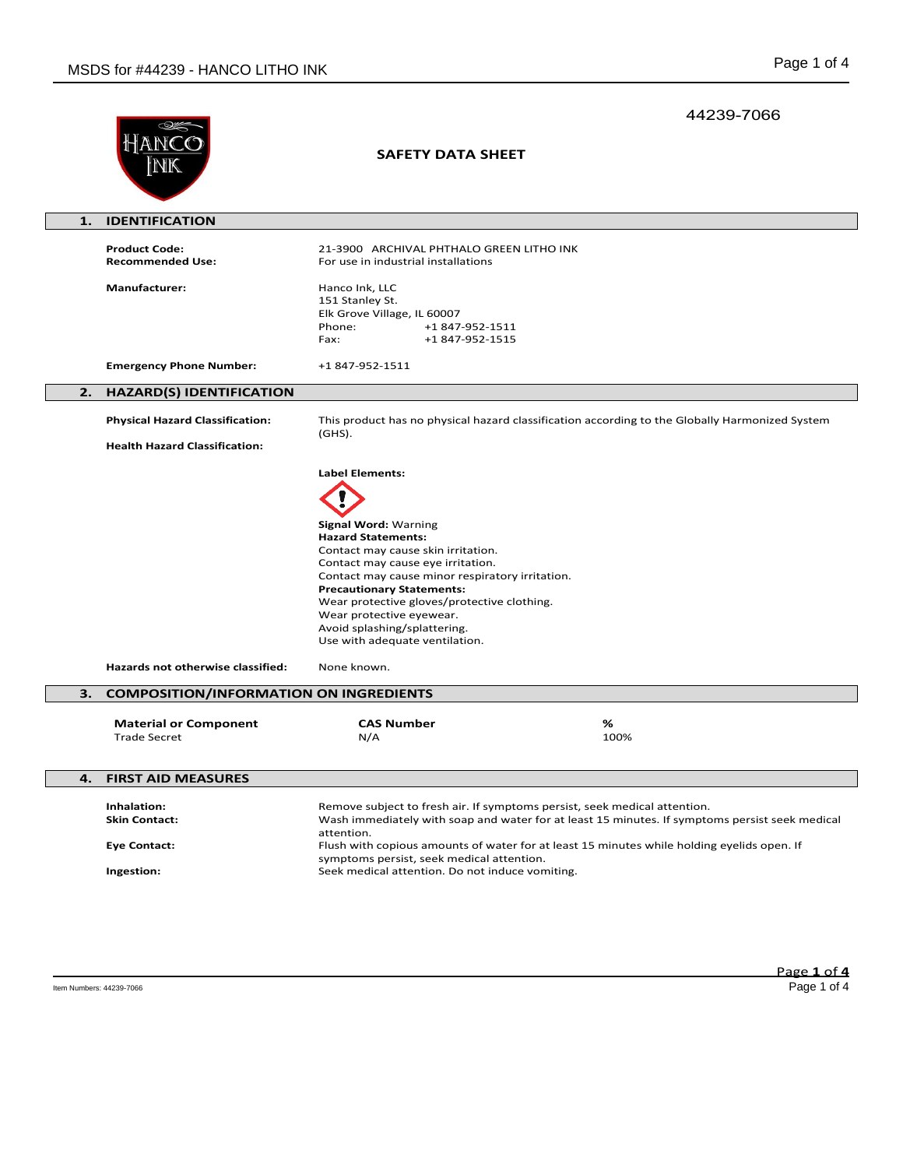|    |                                                     |                                                                                                                                                                                                                                                                                                                                                                         | 44239-7066 |
|----|-----------------------------------------------------|-------------------------------------------------------------------------------------------------------------------------------------------------------------------------------------------------------------------------------------------------------------------------------------------------------------------------------------------------------------------------|------------|
|    |                                                     | <b>SAFETY DATA SHEET</b>                                                                                                                                                                                                                                                                                                                                                |            |
| 1. | <b>IDENTIFICATION</b>                               |                                                                                                                                                                                                                                                                                                                                                                         |            |
|    | <b>Product Code:</b><br><b>Recommended Use:</b>     | 21-3900 ARCHIVAL PHTHALO GREEN LITHO INK<br>For use in industrial installations                                                                                                                                                                                                                                                                                         |            |
|    | <b>Manufacturer:</b>                                | Hanco Ink, LLC<br>151 Stanley St.<br>Elk Grove Village, IL 60007<br>Phone:<br>+1 847-952-1511<br>+1 847-952-1515<br>Fax:                                                                                                                                                                                                                                                |            |
|    | <b>Emergency Phone Number:</b>                      | +1 847-952-1511                                                                                                                                                                                                                                                                                                                                                         |            |
| 2. | <b>HAZARD(S) IDENTIFICATION</b>                     |                                                                                                                                                                                                                                                                                                                                                                         |            |
|    | <b>Physical Hazard Classification:</b>              | This product has no physical hazard classification according to the Globally Harmonized System<br>(GHS).                                                                                                                                                                                                                                                                |            |
|    | <b>Health Hazard Classification:</b>                |                                                                                                                                                                                                                                                                                                                                                                         |            |
|    |                                                     | <b>Label Elements:</b>                                                                                                                                                                                                                                                                                                                                                  |            |
|    |                                                     |                                                                                                                                                                                                                                                                                                                                                                         |            |
|    |                                                     | <b>Signal Word: Warning</b><br><b>Hazard Statements:</b><br>Contact may cause skin irritation.<br>Contact may cause eye irritation.<br>Contact may cause minor respiratory irritation.<br><b>Precautionary Statements:</b><br>Wear protective gloves/protective clothing.<br>Wear protective eyewear.<br>Avoid splashing/splattering.<br>Use with adequate ventilation. |            |
|    | Hazards not otherwise classified:                   | None known.                                                                                                                                                                                                                                                                                                                                                             |            |
| 3. | <b>COMPOSITION/INFORMATION ON INGREDIENTS</b>       |                                                                                                                                                                                                                                                                                                                                                                         |            |
|    | <b>Material or Component</b><br><b>Trade Secret</b> | <b>CAS Number</b><br>N/A                                                                                                                                                                                                                                                                                                                                                | %<br>100%  |
| 4. | <b>FIRST AID MEASURES</b>                           |                                                                                                                                                                                                                                                                                                                                                                         |            |
|    |                                                     |                                                                                                                                                                                                                                                                                                                                                                         |            |
|    | Inhalation:<br><b>Skin Contact:</b>                 | Remove subject to fresh air. If symptoms persist, seek medical attention.<br>Wash immediately with soap and water for at least 15 minutes. If symptoms persist seek medical<br>attention.                                                                                                                                                                               |            |
|    | <b>Eye Contact:</b>                                 | Flush with copious amounts of water for at least 15 minutes while holding eyelids open. If<br>symptoms persist, seek medical attention.                                                                                                                                                                                                                                 |            |
|    | Ingestion:                                          | Seek medical attention. Do not induce vomiting.                                                                                                                                                                                                                                                                                                                         |            |
|    |                                                     |                                                                                                                                                                                                                                                                                                                                                                         |            |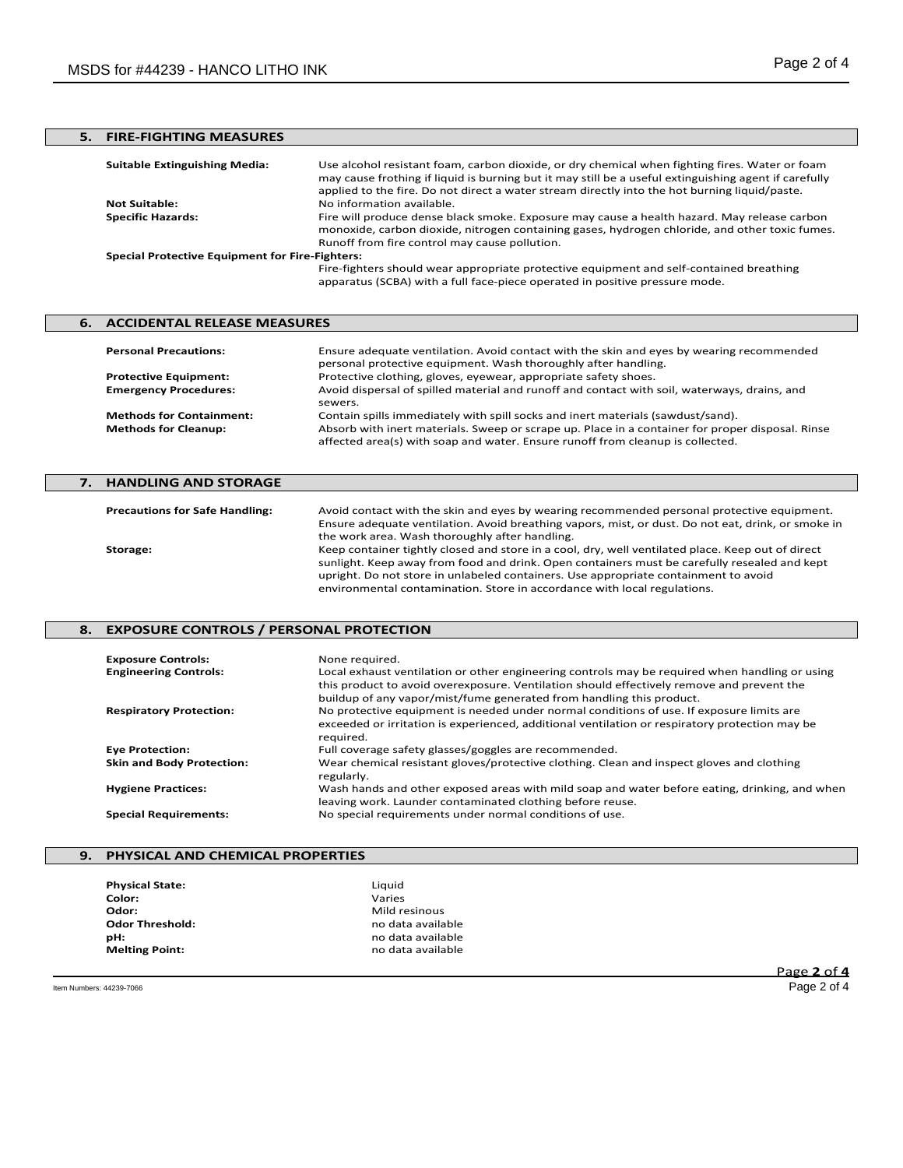| <b>FIRE-FIGHTING MEASURES</b>                          |                                                                                                                                                                                                                                                                                                          |
|--------------------------------------------------------|----------------------------------------------------------------------------------------------------------------------------------------------------------------------------------------------------------------------------------------------------------------------------------------------------------|
| <b>Suitable Extinguishing Media:</b>                   | Use alcohol resistant foam, carbon dioxide, or dry chemical when fighting fires. Water or foam<br>may cause frothing if liquid is burning but it may still be a useful extinguishing agent if carefully<br>applied to the fire. Do not direct a water stream directly into the hot burning liquid/paste. |
| <b>Not Suitable:</b>                                   | No information available.                                                                                                                                                                                                                                                                                |
| <b>Specific Hazards:</b>                               | Fire will produce dense black smoke. Exposure may cause a health hazard. May release carbon<br>monoxide, carbon dioxide, nitrogen containing gases, hydrogen chloride, and other toxic fumes.                                                                                                            |
|                                                        | Runoff from fire control may cause pollution.                                                                                                                                                                                                                                                            |
| <b>Special Protective Equipment for Fire-Fighters:</b> |                                                                                                                                                                                                                                                                                                          |
|                                                        | Fire-fighters should wear appropriate protective equipment and self-contained breathing<br>apparatus (SCBA) with a full face-piece operated in positive pressure mode.                                                                                                                                   |

# **6. ACCIDENTAL RELEASE MEASURES Personal Precautions:** Ensure adequate ventilation. Avoid contact with the skin and eyes by wearing recommended personal protective equipment. Wash thoroughly after handling. **Protective Equipment:** Protective clothing, gloves, eyewear, appropriate safety shoes. **Emergency Procedures:** Avoid dispersal of spilled material and runoff and contact with soil, waterways, drains, and sewers. **Methods for Containment:** Contain spills immediately with spill socks and inert materials (sawdust/sand).<br>**Methods for Cleanup:** Absorb with inert materials. Sweep or scrape up. Place in a container for prope Absorb with inert materials. Sweep or scrape up. Place in a container for proper disposal. Rinse

# **7. HANDLING AND STORAGE Precautions for Safe Handling:** Avoid contact with the skin and eyes by wearing recommended personal protective equipment. Ensure adequate ventilation. Avoid breathing vapors, mist, or dust. Do not eat, drink, or smoke in the work area. Wash thoroughly after handling. **Storage:** Keep container tightly closed and store in a cool, dry, well ventilated place. Keep out of direct sunlight. Keep away from food and drink. Open containers must be carefully resealed and kept upright. Do not store in unlabeled containers. Use appropriate containment to avoid environmental contamination. Store in accordance with local regulations.

affected area(s) with soap and water. Ensure runoff from cleanup is collected.

# **8. EXPOSURE CONTROLS / PERSONAL PROTECTION**

| <b>Exposure Controls:</b><br><b>Engineering Controls:</b> | None required.<br>Local exhaust ventilation or other engineering controls may be required when handling or using<br>this product to avoid overexposure. Ventilation should effectively remove and prevent the<br>buildup of any vapor/mist/fume generated from handling this product. |
|-----------------------------------------------------------|---------------------------------------------------------------------------------------------------------------------------------------------------------------------------------------------------------------------------------------------------------------------------------------|
| <b>Respiratory Protection:</b>                            | No protective equipment is needed under normal conditions of use. If exposure limits are<br>exceeded or irritation is experienced, additional ventilation or respiratory protection may be<br>required.                                                                               |
| <b>Eye Protection:</b>                                    | Full coverage safety glasses/goggles are recommended.                                                                                                                                                                                                                                 |
| <b>Skin and Body Protection:</b>                          | Wear chemical resistant gloves/protective clothing. Clean and inspect gloves and clothing<br>regularly.                                                                                                                                                                               |
| <b>Hygiene Practices:</b>                                 | Wash hands and other exposed areas with mild soap and water before eating, drinking, and when<br>leaving work. Launder contaminated clothing before reuse.                                                                                                                            |
| <b>Special Requirements:</b>                              | No special requirements under normal conditions of use.                                                                                                                                                                                                                               |

## **9. PHYSICAL AND CHEMICAL PROPERTIES**

| <b>Physical State:</b> | Liquid            |
|------------------------|-------------------|
| Color:                 | Varies            |
| Odor:                  | Mild resinous     |
| <b>Odor Threshold:</b> | no data available |
| pН:                    | no data available |
| <b>Melting Point:</b>  | no data available |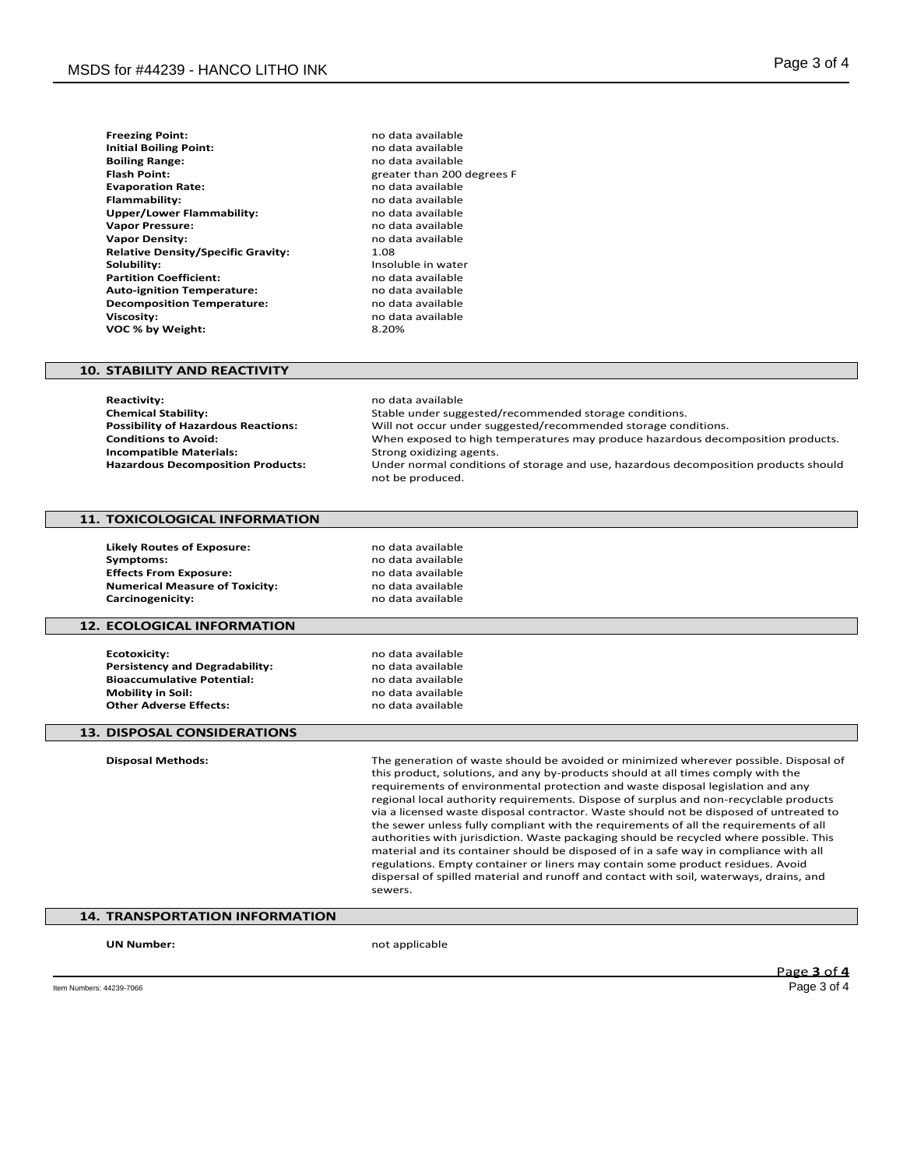| <b>Freezing Point:</b>                    | no dat |
|-------------------------------------------|--------|
| <b>Initial Boiling Point:</b>             | no dat |
| <b>Boiling Range:</b>                     | no dat |
| <b>Flash Point:</b>                       | greate |
| <b>Evaporation Rate:</b>                  | no dat |
| <b>Flammability:</b>                      | no dat |
| Upper/Lower Flammability:                 | no dat |
| <b>Vapor Pressure:</b>                    | no dat |
| <b>Vapor Density:</b>                     | no dat |
| <b>Relative Density/Specific Gravity:</b> | 1.08   |
| Solubility:                               | Insolu |
| <b>Partition Coefficient:</b>             | no dat |
| <b>Auto-ignition Temperature:</b>         | no dat |
| <b>Decomposition Temperature:</b>         | no dat |
| <b>Viscosity:</b>                         | no dat |
| VOC % by Weight:                          | 8.20%  |

**Freezing Point:** no data available **Initial Boiling Point:** no data available **Boiling Range:** no data available **Flash Point:** greater than 200 degrees F **Evaporation Rate:** no data available **Flammability:** no data available **Upper/Lower Flammability:** no data available **Vapor Pressure:** no data available no data available<br>1.08 **Insoluble in water Partition Coefficient:** no data available **Auto-ignition Temperature:** no data available **Decomposition Temperature:** no data available **Viscosity:** no data available

## **10. STABILITY AND REACTIVITY**

**Reactivity:** no data available<br> **Chemical Stability:** Notably and the Stable under suggested and the Stable under suggested and the Stable under suggested and the Stable under suggested and the Stable under suggested and **Chemical Stability:** Stable under suggested/recommended storage conditions. **Possibility of Hazardous Reactions:** Will not occur under suggested/recommended storage conditions.<br>Conditions to Avoid: When exposed to high temperatures may produce hazardous deco When exposed to high temperatures may produce hazardous decomposition products.<br>Strong oxidizing agents. **Incompatible Materials: Hazardous Decomposition Products:** Under normal conditions of storage and use, hazardous decomposition products should not be produced.

# **11. TOXICOLOGICAL INFORMATION**

**Likely Routes of Exposure:** no data available **Symptoms:** no data available<br>**Effects From Exposure:** exercise the mode data available **Effects From Exposure: Numerical Measure of Toxicity:** no data available<br> **Carcinogenicity:** no data available **Carcinogenicity:** 

### **12. ECOLOGICAL INFORMATION**

**Ecotoxicity:** no data available<br> **Persistency and Degradability:** example a no data available **Persistency and Degradability:** end and a modata available<br> **Bioaccumulative Potential:** end and a modata available **Bioaccumulative Potential:**<br>Mobility in Soil: **Other Adverse Effects:** 

**Mobility in Soil:** no data available

### **13. DISPOSAL CONSIDERATIONS**

**Disposal Methods:** The generation of waste should be avoided or minimized wherever possible. Disposal of this product, solutions, and any by-products should at all times comply with the requirements of environmental protection and waste disposal legislation and any regional local authority requirements. Dispose of surplus and non-recyclable products via a licensed waste disposal contractor. Waste should not be disposed of untreated to the sewer unless fully compliant with the requirements of all the requirements of all authorities with jurisdiction. Waste packaging should be recycled where possible. This material and its container should be disposed of in a safe way in compliance with all regulations. Empty container or liners may contain some product residues. Avoid dispersal of spilled material and runoff and contact with soil, waterways, drains, and sewers.

# **14. TRANSPORTATION INFORMATION**

**UN Number:** not applicable

Page **3** of **4**